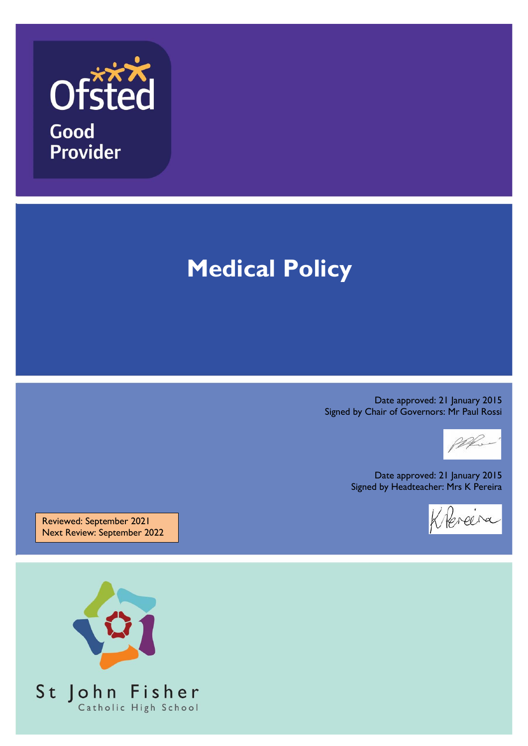

Good **Provider** 

# **Medical Policy**

Date approved: 21 January 2015 Signed by Chair of Governors: Mr Paul Rossi

PR.

Date approved: 21 January 2015 Signed by Headteacher: Mrs K Pereira



Reviewed: September 2021 Next Review: September 2022

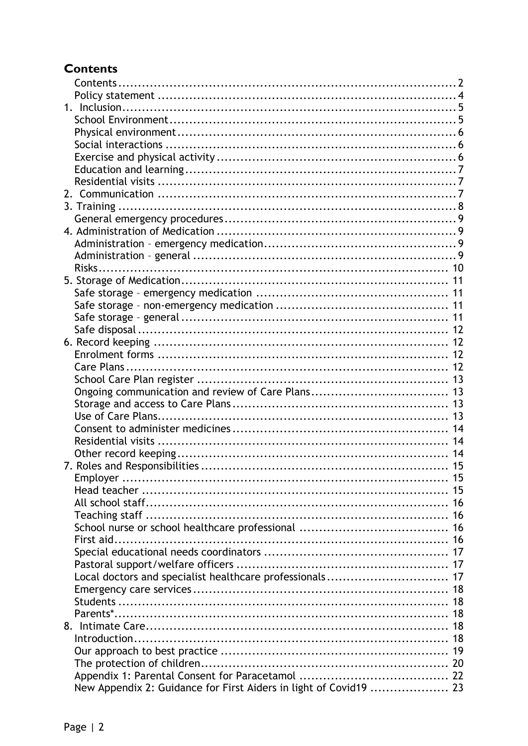# <span id="page-1-0"></span>**Contents**

|  |                                                                   | 16 |
|--|-------------------------------------------------------------------|----|
|  |                                                                   |    |
|  |                                                                   |    |
|  |                                                                   |    |
|  |                                                                   |    |
|  |                                                                   |    |
|  |                                                                   |    |
|  |                                                                   |    |
|  |                                                                   |    |
|  |                                                                   | 18 |
|  |                                                                   |    |
|  |                                                                   |    |
|  |                                                                   |    |
|  |                                                                   |    |
|  |                                                                   |    |
|  | New Appendix 2: Guidance for First Aiders in light of Covid19  23 |    |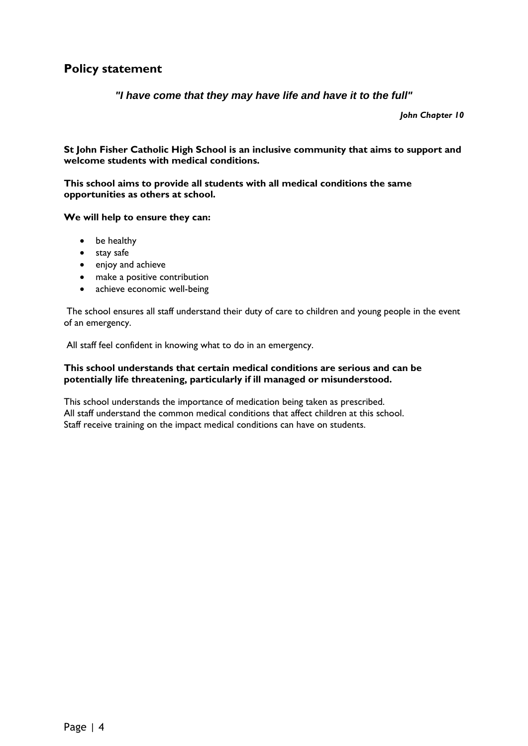### <span id="page-3-0"></span>**Policy statement**

*"I have come that they may have life and have it to the full"*

*John Chapter 10*

**St John Fisher Catholic High School is an inclusive community that aims to support and welcome students with medical conditions.**

**This school aims to provide all students with all medical conditions the same opportunities as others at school.**

**We will help to ensure they can:**

- be healthy
- stay safe
- enjoy and achieve
- make a positive contribution
- achieve economic well-being

The school ensures all staff understand their duty of care to children and young people in the event of an emergency.

All staff feel confident in knowing what to do in an emergency.

#### **This school understands that certain medical conditions are serious and can be potentially life threatening, particularly if ill managed or misunderstood.**

This school understands the importance of medication being taken as prescribed. All staff understand the common medical conditions that affect children at this school. Staff receive training on the impact medical conditions can have on students.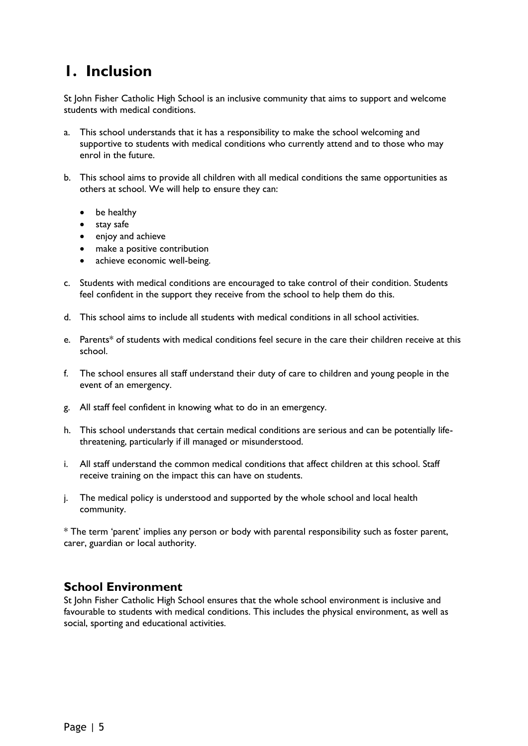# <span id="page-4-0"></span>**1. Inclusion**

St John Fisher Catholic High School is an inclusive community that aims to support and welcome students with medical conditions.

- a. This school understands that it has a responsibility to make the school welcoming and supportive to students with medical conditions who currently attend and to those who may enrol in the future.
- b. This school aims to provide all children with all medical conditions the same opportunities as others at school. We will help to ensure they can:
	- be healthy
	- stay safe
	- enjoy and achieve
	- make a positive contribution
	- achieve economic well-being.
- c. Students with medical conditions are encouraged to take control of their condition. Students feel confident in the support they receive from the school to help them do this.
- d. This school aims to include all students with medical conditions in all school activities.
- e. Parents\* of students with medical conditions feel secure in the care their children receive at this school.
- f. The school ensures all staff understand their duty of care to children and young people in the event of an emergency.
- g. All staff feel confident in knowing what to do in an emergency.
- h. This school understands that certain medical conditions are serious and can be potentially lifethreatening, particularly if ill managed or misunderstood.
- i. All staff understand the common medical conditions that affect children at this school. Staff receive training on the impact this can have on students.
- j. The medical policy is understood and supported by the whole school and local health community.

\* The term 'parent' implies any person or body with parental responsibility such as foster parent, carer, guardian or local authority.

#### <span id="page-4-1"></span>**School Environment**

St John Fisher Catholic High School ensures that the whole school environment is inclusive and favourable to students with medical conditions. This includes the physical environment, as well as social, sporting and educational activities.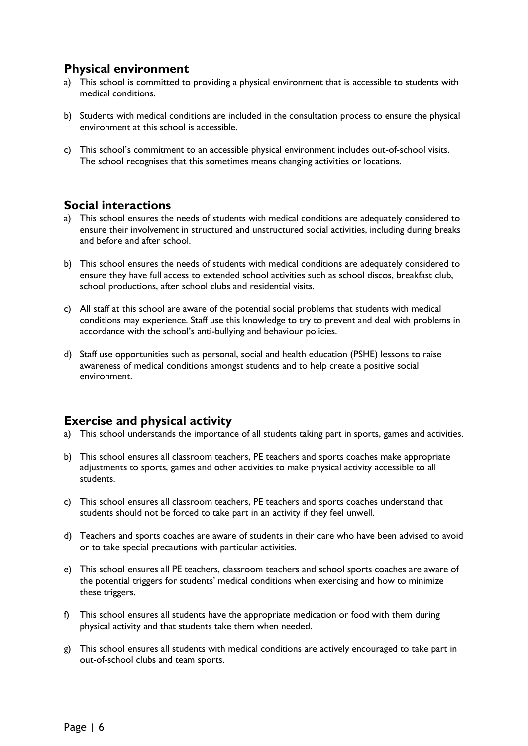# <span id="page-5-0"></span>**Physical environment**

- a) This school is committed to providing a physical environment that is accessible to students with medical conditions.
- b) Students with medical conditions are included in the consultation process to ensure the physical environment at this school is accessible.
- c) This school's commitment to an accessible physical environment includes out-of-school visits. The school recognises that this sometimes means changing activities or locations.

#### <span id="page-5-1"></span>**Social interactions**

- a) This school ensures the needs of students with medical conditions are adequately considered to ensure their involvement in structured and unstructured social activities, including during breaks and before and after school.
- b) This school ensures the needs of students with medical conditions are adequately considered to ensure they have full access to extended school activities such as school discos, breakfast club, school productions, after school clubs and residential visits.
- c) All staff at this school are aware of the potential social problems that students with medical conditions may experience. Staff use this knowledge to try to prevent and deal with problems in accordance with the school's anti-bullying and behaviour policies.
- d) Staff use opportunities such as personal, social and health education (PSHE) lessons to raise awareness of medical conditions amongst students and to help create a positive social environment.

#### <span id="page-5-2"></span>**Exercise and physical activity**

- a) This school understands the importance of all students taking part in sports, games and activities.
- b) This school ensures all classroom teachers, PE teachers and sports coaches make appropriate adjustments to sports, games and other activities to make physical activity accessible to all students.
- c) This school ensures all classroom teachers, PE teachers and sports coaches understand that students should not be forced to take part in an activity if they feel unwell.
- d) Teachers and sports coaches are aware of students in their care who have been advised to avoid or to take special precautions with particular activities.
- e) This school ensures all PE teachers, classroom teachers and school sports coaches are aware of the potential triggers for students' medical conditions when exercising and how to minimize these triggers.
- f) This school ensures all students have the appropriate medication or food with them during physical activity and that students take them when needed.
- g) This school ensures all students with medical conditions are actively encouraged to take part in out-of-school clubs and team sports.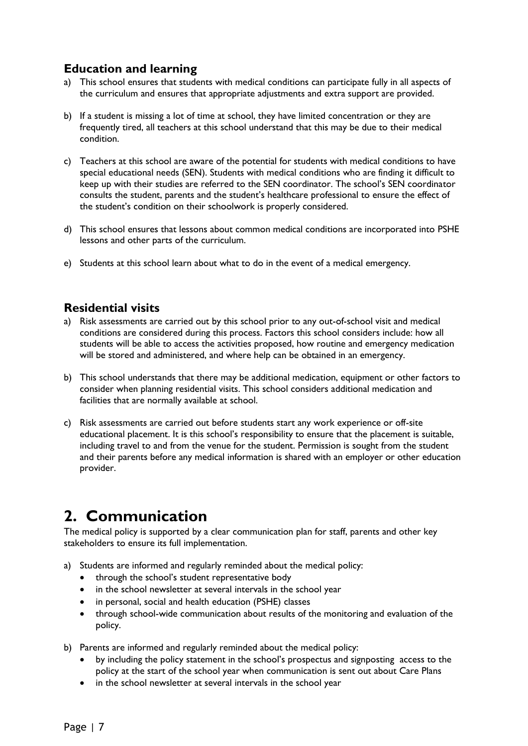# <span id="page-6-0"></span>**Education and learning**

- a) This school ensures that students with medical conditions can participate fully in all aspects of the curriculum and ensures that appropriate adjustments and extra support are provided.
- b) If a student is missing a lot of time at school, they have limited concentration or they are frequently tired, all teachers at this school understand that this may be due to their medical condition.
- c) Teachers at this school are aware of the potential for students with medical conditions to have special educational needs (SEN). Students with medical conditions who are finding it difficult to keep up with their studies are referred to the SEN coordinator. The school's SEN coordinator consults the student, parents and the student's healthcare professional to ensure the effect of the student's condition on their schoolwork is properly considered.
- d) This school ensures that lessons about common medical conditions are incorporated into PSHE lessons and other parts of the curriculum.
- e) Students at this school learn about what to do in the event of a medical emergency.

### <span id="page-6-1"></span>**Residential visits**

- a) Risk assessments are carried out by this school prior to any out-of-school visit and medical conditions are considered during this process. Factors this school considers include: how all students will be able to access the activities proposed, how routine and emergency medication will be stored and administered, and where help can be obtained in an emergency.
- b) This school understands that there may be additional medication, equipment or other factors to consider when planning residential visits. This school considers additional medication and facilities that are normally available at school.
- c) Risk assessments are carried out before students start any work experience or off-site educational placement. It is this school's responsibility to ensure that the placement is suitable, including travel to and from the venue for the student. Permission is sought from the student and their parents before any medical information is shared with an employer or other education provider.

# <span id="page-6-2"></span>**2. Communication**

The medical policy is supported by a clear communication plan for staff, parents and other key stakeholders to ensure its full implementation.

- a) Students are informed and regularly reminded about the medical policy:
	- through the school's student representative body
	- in the school newsletter at several intervals in the school year
	- in personal, social and health education (PSHE) classes
	- through school-wide communication about results of the monitoring and evaluation of the policy.
- b) Parents are informed and regularly reminded about the medical policy:
	- by including the policy statement in the school's prospectus and signposting access to the policy at the start of the school year when communication is sent out about Care Plans
	- in the school newsletter at several intervals in the school year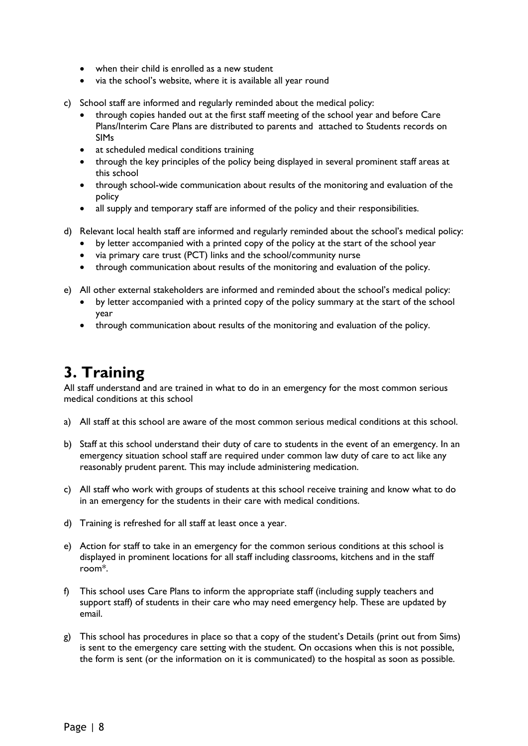- when their child is enrolled as a new student
- via the school's website, where it is available all year round
- c) School staff are informed and regularly reminded about the medical policy:
	- through copies handed out at the first staff meeting of the school year and before Care Plans/Interim Care Plans are distributed to parents and attached to Students records on SIMs
	- at scheduled medical conditions training
	- through the key principles of the policy being displayed in several prominent staff areas at this school
	- through school-wide communication about results of the monitoring and evaluation of the policy
	- all supply and temporary staff are informed of the policy and their responsibilities.
- d) Relevant local health staff are informed and regularly reminded about the school's medical policy:
	- by letter accompanied with a printed copy of the policy at the start of the school year
	- via primary care trust (PCT) links and the school/community nurse
	- through communication about results of the monitoring and evaluation of the policy.
- e) All other external stakeholders are informed and reminded about the school's medical policy:
	- by letter accompanied with a printed copy of the policy summary at the start of the school year
	- through communication about results of the monitoring and evaluation of the policy.

# <span id="page-7-0"></span>**3. Training**

All staff understand and are trained in what to do in an emergency for the most common serious medical conditions at this school

- a) All staff at this school are aware of the most common serious medical conditions at this school.
- b) Staff at this school understand their duty of care to students in the event of an emergency. In an emergency situation school staff are required under common law duty of care to act like any reasonably prudent parent. This may include administering medication.
- c) All staff who work with groups of students at this school receive training and know what to do in an emergency for the students in their care with medical conditions.
- d) Training is refreshed for all staff at least once a year.
- e) Action for staff to take in an emergency for the common serious conditions at this school is displayed in prominent locations for all staff including classrooms, kitchens and in the staff room\*.
- f) This school uses Care Plans to inform the appropriate staff (including supply teachers and support staff) of students in their care who may need emergency help. These are updated by email.
- g) This school has procedures in place so that a copy of the student's Details (print out from Sims) is sent to the emergency care setting with the student. On occasions when this is not possible, the form is sent (or the information on it is communicated) to the hospital as soon as possible.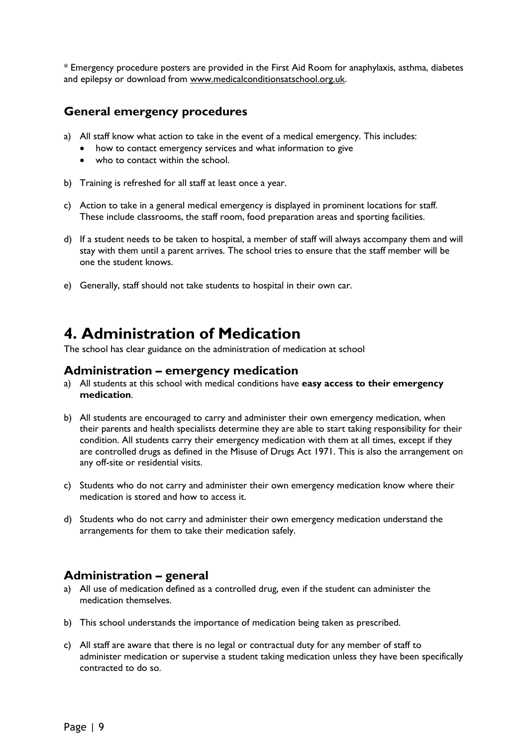\* Emergency procedure posters are provided in the First Aid Room for anaphylaxis, asthma, diabetes and epilepsy or download from [www.medicalconditionsatschool.org.uk.](http://www.medicalconditionsatschool.org.uk/)

### <span id="page-8-0"></span>**General emergency procedures**

- a) All staff know what action to take in the event of a medical emergency. This includes:
	- how to contact emergency services and what information to give
	- who to contact within the school.
- b) Training is refreshed for all staff at least once a year.
- c) Action to take in a general medical emergency is displayed in prominent locations for staff. These include classrooms, the staff room, food preparation areas and sporting facilities.
- d) If a student needs to be taken to hospital, a member of staff will always accompany them and will stay with them until a parent arrives. The school tries to ensure that the staff member will be one the student knows.
- e) Generally, staff should not take students to hospital in their own car.

# <span id="page-8-1"></span>**4. Administration of Medication**

The school has clear guidance on the administration of medication at school

#### <span id="page-8-2"></span>**Administration – emergency medication**

- a) All students at this school with medical conditions have **easy access to their emergency medication**.
- b) All students are encouraged to carry and administer their own emergency medication, when their parents and health specialists determine they are able to start taking responsibility for their condition. All students carry their emergency medication with them at all times, except if they are controlled drugs as defined in the Misuse of Drugs Act 1971. This is also the arrangement on any off-site or residential visits.
- c) Students who do not carry and administer their own emergency medication know where their medication is stored and how to access it.
- d) Students who do not carry and administer their own emergency medication understand the arrangements for them to take their medication safely.

### <span id="page-8-3"></span>**Administration – general**

- a) All use of medication defined as a controlled drug, even if the student can administer the medication themselves.
- b) This school understands the importance of medication being taken as prescribed.
- c) All staff are aware that there is no legal or contractual duty for any member of staff to administer medication or supervise a student taking medication unless they have been specifically contracted to do so.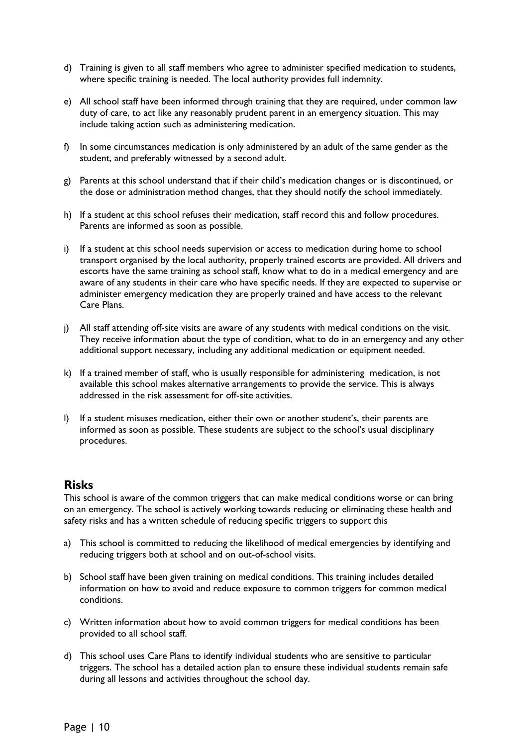- d) Training is given to all staff members who agree to administer specified medication to students, where specific training is needed. The local authority provides full indemnity.
- e) All school staff have been informed through training that they are required, under common law duty of care, to act like any reasonably prudent parent in an emergency situation. This may include taking action such as administering medication.
- f) In some circumstances medication is only administered by an adult of the same gender as the student, and preferably witnessed by a second adult.
- g) Parents at this school understand that if their child's medication changes or is discontinued, or the dose or administration method changes, that they should notify the school immediately.
- h) If a student at this school refuses their medication, staff record this and follow procedures. Parents are informed as soon as possible.
- i) If a student at this school needs supervision or access to medication during home to school transport organised by the local authority, properly trained escorts are provided. All drivers and escorts have the same training as school staff, know what to do in a medical emergency and are aware of any students in their care who have specific needs. If they are expected to supervise or administer emergency medication they are properly trained and have access to the relevant Care Plans.
- j) All staff attending off-site visits are aware of any students with medical conditions on the visit. They receive information about the type of condition, what to do in an emergency and any other additional support necessary, including any additional medication or equipment needed.
- k) If a trained member of staff, who is usually responsible for administering medication, is not available this school makes alternative arrangements to provide the service. This is always addressed in the risk assessment for off-site activities.
- l) If a student misuses medication, either their own or another student's, their parents are informed as soon as possible. These students are subject to the school's usual disciplinary procedures.

#### <span id="page-9-0"></span>**Risks**

This school is aware of the common triggers that can make medical conditions worse or can bring on an emergency. The school is actively working towards reducing or eliminating these health and safety risks and has a written schedule of reducing specific triggers to support this

- a) This school is committed to reducing the likelihood of medical emergencies by identifying and reducing triggers both at school and on out-of-school visits.
- b) School staff have been given training on medical conditions. This training includes detailed information on how to avoid and reduce exposure to common triggers for common medical conditions.
- c) Written information about how to avoid common triggers for medical conditions has been provided to all school staff.
- d) This school uses Care Plans to identify individual students who are sensitive to particular triggers. The school has a detailed action plan to ensure these individual students remain safe during all lessons and activities throughout the school day.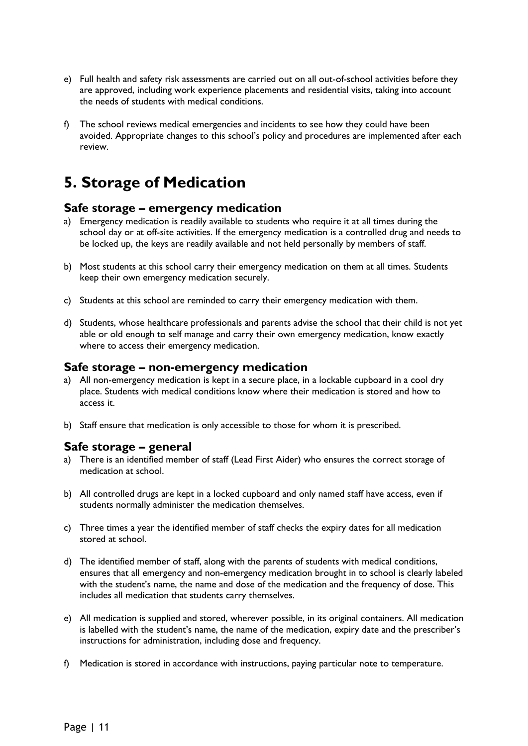- e) Full health and safety risk assessments are carried out on all out-of-school activities before they are approved, including work experience placements and residential visits, taking into account the needs of students with medical conditions.
- f) The school reviews medical emergencies and incidents to see how they could have been avoided. Appropriate changes to this school's policy and procedures are implemented after each review.

# <span id="page-10-0"></span>**5. Storage of Medication**

#### <span id="page-10-1"></span>**Safe storage – emergency medication**

- a) Emergency medication is readily available to students who require it at all times during the school day or at off-site activities. If the emergency medication is a controlled drug and needs to be locked up, the keys are readily available and not held personally by members of staff.
- b) Most students at this school carry their emergency medication on them at all times. Students keep their own emergency medication securely.
- c) Students at this school are reminded to carry their emergency medication with them.
- d) Students, whose healthcare professionals and parents advise the school that their child is not yet able or old enough to self manage and carry their own emergency medication, know exactly where to access their emergency medication.

#### <span id="page-10-2"></span>**Safe storage – non-emergency medication**

- a) All non-emergency medication is kept in a secure place, in a lockable cupboard in a cool dry place. Students with medical conditions know where their medication is stored and how to access it.
- b) Staff ensure that medication is only accessible to those for whom it is prescribed.

#### <span id="page-10-3"></span>**Safe storage – general**

- a) There is an identified member of staff (Lead First Aider) who ensures the correct storage of medication at school.
- b) All controlled drugs are kept in a locked cupboard and only named staff have access, even if students normally administer the medication themselves.
- c) Three times a year the identified member of staff checks the expiry dates for all medication stored at school.
- d) The identified member of staff, along with the parents of students with medical conditions, ensures that all emergency and non-emergency medication brought in to school is clearly labeled with the student's name, the name and dose of the medication and the frequency of dose. This includes all medication that students carry themselves.
- e) All medication is supplied and stored, wherever possible, in its original containers. All medication is labelled with the student's name, the name of the medication, expiry date and the prescriber's instructions for administration, including dose and frequency.
- f) Medication is stored in accordance with instructions, paying particular note to temperature.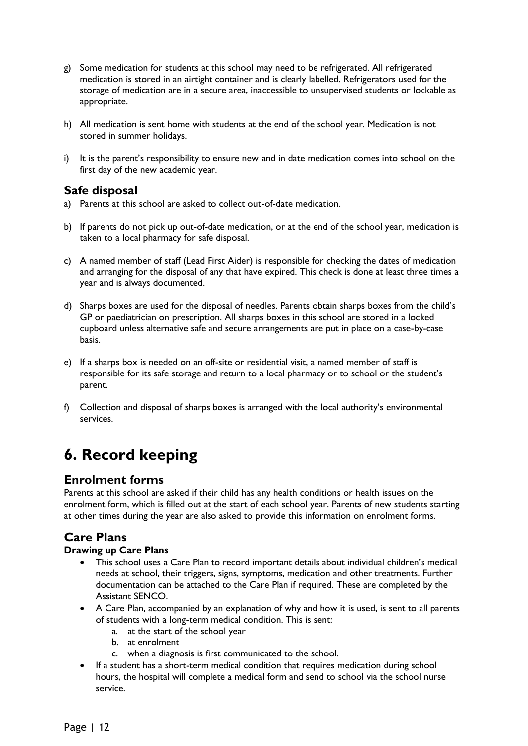- g) Some medication for students at this school may need to be refrigerated. All refrigerated medication is stored in an airtight container and is clearly labelled. Refrigerators used for the storage of medication are in a secure area, inaccessible to unsupervised students or lockable as appropriate.
- h) All medication is sent home with students at the end of the school year. Medication is not stored in summer holidays.
- i) It is the parent's responsibility to ensure new and in date medication comes into school on the first day of the new academic year.

#### <span id="page-11-0"></span>**Safe disposal**

- a) Parents at this school are asked to collect out-of-date medication.
- b) If parents do not pick up out-of-date medication, or at the end of the school year, medication is taken to a local pharmacy for safe disposal.
- c) A named member of staff (Lead First Aider) is responsible for checking the dates of medication and arranging for the disposal of any that have expired. This check is done at least three times a year and is always documented.
- d) Sharps boxes are used for the disposal of needles. Parents obtain sharps boxes from the child's GP or paediatrician on prescription. All sharps boxes in this school are stored in a locked cupboard unless alternative safe and secure arrangements are put in place on a case-by-case basis.
- e) If a sharps box is needed on an off-site or residential visit, a named member of staff is responsible for its safe storage and return to a local pharmacy or to school or the student's parent.
- f) Collection and disposal of sharps boxes is arranged with the local authority's environmental services.

# <span id="page-11-1"></span>**6. Record keeping**

#### <span id="page-11-2"></span>**Enrolment forms**

Parents at this school are asked if their child has any health conditions or health issues on the enrolment form, which is filled out at the start of each school year. Parents of new students starting at other times during the year are also asked to provide this information on enrolment forms.

# <span id="page-11-3"></span>**Care Plans**

#### **Drawing up Care Plans**

- This school uses a Care Plan to record important details about individual children's medical needs at school, their triggers, signs, symptoms, medication and other treatments. Further documentation can be attached to the Care Plan if required. These are completed by the Assistant SENCO.
- A Care Plan, accompanied by an explanation of why and how it is used, is sent to all parents of students with a long-term medical condition. This is sent:
	- a. at the start of the school year
	- b. at enrolment
	- c. when a diagnosis is first communicated to the school.
- If a student has a short-term medical condition that requires medication during school hours, the hospital will complete a medical form and send to school via the school nurse service.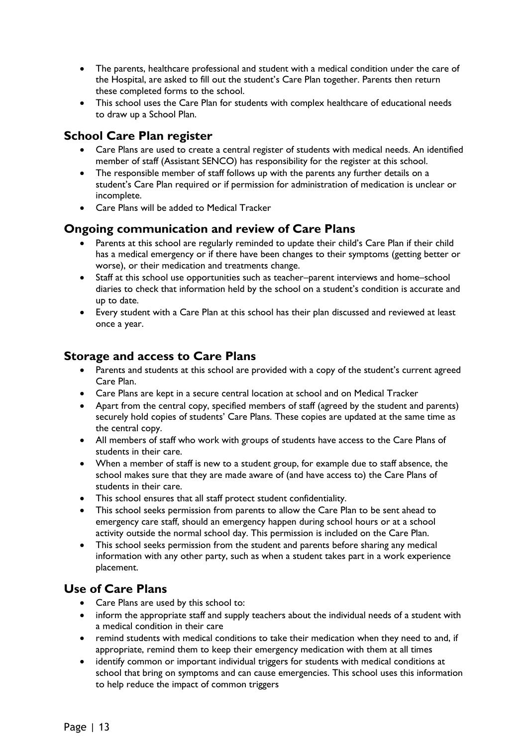- The parents, healthcare professional and student with a medical condition under the care of the Hospital, are asked to fill out the student's Care Plan together. Parents then return these completed forms to the school.
- This school uses the Care Plan for students with complex healthcare of educational needs to draw up a School Plan.

# <span id="page-12-0"></span>**School Care Plan register**

- Care Plans are used to create a central register of students with medical needs. An identified member of staff (Assistant SENCO) has responsibility for the register at this school.
- The responsible member of staff follows up with the parents any further details on a student's Care Plan required or if permission for administration of medication is unclear or incomplete.
- Care Plans will be added to Medical Tracker

# <span id="page-12-1"></span>**Ongoing communication and review of Care Plans**

- Parents at this school are regularly reminded to update their child's Care Plan if their child has a medical emergency or if there have been changes to their symptoms (getting better or worse), or their medication and treatments change.
- Staff at this school use opportunities such as teacher–parent interviews and home–school diaries to check that information held by the school on a student's condition is accurate and up to date.
- Every student with a Care Plan at this school has their plan discussed and reviewed at least once a year.

# <span id="page-12-2"></span>**Storage and access to Care Plans**

- Parents and students at this school are provided with a copy of the student's current agreed Care Plan.
- Care Plans are kept in a secure central location at school and on Medical Tracker
- Apart from the central copy, specified members of staff (agreed by the student and parents) securely hold copies of students' Care Plans. These copies are updated at the same time as the central copy.
- All members of staff who work with groups of students have access to the Care Plans of students in their care.
- When a member of staff is new to a student group, for example due to staff absence, the school makes sure that they are made aware of (and have access to) the Care Plans of students in their care.
- This school ensures that all staff protect student confidentiality.
- This school seeks permission from parents to allow the Care Plan to be sent ahead to emergency care staff, should an emergency happen during school hours or at a school activity outside the normal school day. This permission is included on the Care Plan.
- This school seeks permission from the student and parents before sharing any medical information with any other party, such as when a student takes part in a work experience placement.

# <span id="page-12-3"></span>**Use of Care Plans**

- Care Plans are used by this school to:
- inform the appropriate staff and supply teachers about the individual needs of a student with a medical condition in their care
- remind students with medical conditions to take their medication when they need to and, if appropriate, remind them to keep their emergency medication with them at all times
- identify common or important individual triggers for students with medical conditions at school that bring on symptoms and can cause emergencies. This school uses this information to help reduce the impact of common triggers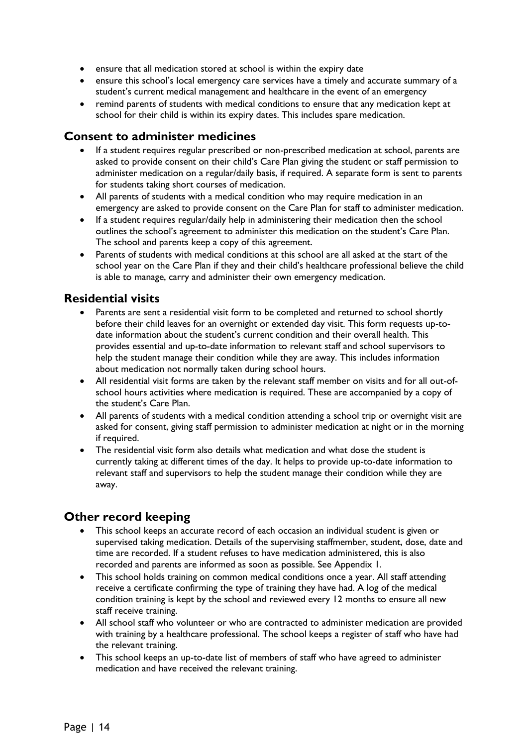- ensure that all medication stored at school is within the expiry date
- ensure this school's local emergency care services have a timely and accurate summary of a student's current medical management and healthcare in the event of an emergency
- remind parents of students with medical conditions to ensure that any medication kept at school for their child is within its expiry dates. This includes spare medication.

#### <span id="page-13-0"></span>**Consent to administer medicines**

- If a student requires regular prescribed or non-prescribed medication at school, parents are asked to provide consent on their child's Care Plan giving the student or staff permission to administer medication on a regular/daily basis, if required. A separate form is sent to parents for students taking short courses of medication.
- All parents of students with a medical condition who may require medication in an emergency are asked to provide consent on the Care Plan for staff to administer medication.
- If a student requires regular/daily help in administering their medication then the school outlines the school's agreement to administer this medication on the student's Care Plan. The school and parents keep a copy of this agreement.
- Parents of students with medical conditions at this school are all asked at the start of the school year on the Care Plan if they and their child's healthcare professional believe the child is able to manage, carry and administer their own emergency medication.

#### <span id="page-13-1"></span>**Residential visits**

- Parents are sent a residential visit form to be completed and returned to school shortly before their child leaves for an overnight or extended day visit. This form requests up-todate information about the student's current condition and their overall health. This provides essential and up-to-date information to relevant staff and school supervisors to help the student manage their condition while they are away. This includes information about medication not normally taken during school hours.
- All residential visit forms are taken by the relevant staff member on visits and for all out-ofschool hours activities where medication is required. These are accompanied by a copy of the student's Care Plan.
- All parents of students with a medical condition attending a school trip or overnight visit are asked for consent, giving staff permission to administer medication at night or in the morning if required.
- The residential visit form also details what medication and what dose the student is currently taking at different times of the day. It helps to provide up-to-date information to relevant staff and supervisors to help the student manage their condition while they are away.

# <span id="page-13-2"></span>**Other record keeping**

- This school keeps an accurate record of each occasion an individual student is given or supervised taking medication. Details of the supervising staffmember, student, dose, date and time are recorded. If a student refuses to have medication administered, this is also recorded and parents are informed as soon as possible. See Appendix 1.
- This school holds training on common medical conditions once a year. All staff attending receive a certificate confirming the type of training they have had. A log of the medical condition training is kept by the school and reviewed every 12 months to ensure all new staff receive training.
- All school staff who volunteer or who are contracted to administer medication are provided with training by a healthcare professional. The school keeps a register of staff who have had the relevant training.
- This school keeps an up-to-date list of members of staff who have agreed to administer medication and have received the relevant training.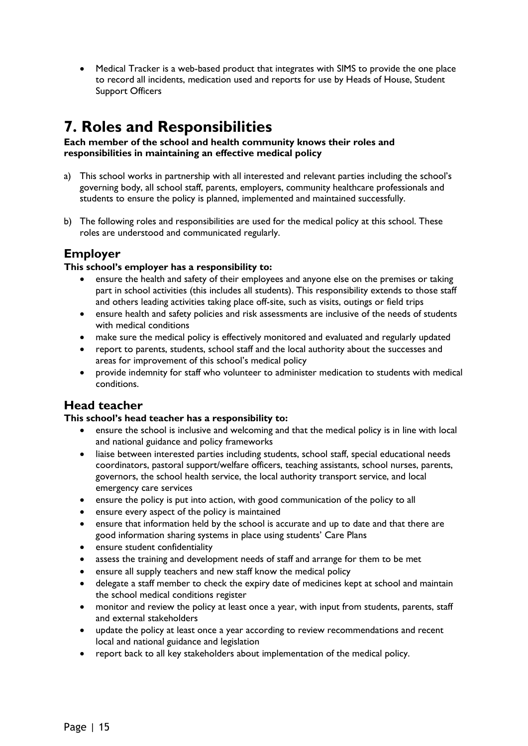Medical Tracker is a web-based product that integrates with SIMS to provide the one place to record all incidents, medication used and reports for use by Heads of House, Student Support Officers

# <span id="page-14-0"></span>**7. Roles and Responsibilities**

**Each member of the school and health community knows their roles and responsibilities in maintaining an effective medical policy**

- a) This school works in partnership with all interested and relevant parties including the school's governing body, all school staff, parents, employers, community healthcare professionals and students to ensure the policy is planned, implemented and maintained successfully.
- b) The following roles and responsibilities are used for the medical policy at this school. These roles are understood and communicated regularly.

# <span id="page-14-1"></span>**Employer**

#### **This school's employer has a responsibility to:**

- ensure the health and safety of their employees and anyone else on the premises or taking part in school activities (this includes all students). This responsibility extends to those staff and others leading activities taking place off-site, such as visits, outings or field trips
- ensure health and safety policies and risk assessments are inclusive of the needs of students with medical conditions
- make sure the medical policy is effectively monitored and evaluated and regularly updated
- report to parents, students, school staff and the local authority about the successes and areas for improvement of this school's medical policy
- provide indemnity for staff who volunteer to administer medication to students with medical conditions.

#### <span id="page-14-2"></span>**Head teacher**

#### **This school's head teacher has a responsibility to:**

- ensure the school is inclusive and welcoming and that the medical policy is in line with local and national guidance and policy frameworks
- liaise between interested parties including students, school staff, special educational needs coordinators, pastoral support/welfare officers, teaching assistants, school nurses, parents, governors, the school health service, the local authority transport service, and local emergency care services
- ensure the policy is put into action, with good communication of the policy to all
- ensure every aspect of the policy is maintained
- ensure that information held by the school is accurate and up to date and that there are good information sharing systems in place using students' Care Plans
- ensure student confidentiality
- assess the training and development needs of staff and arrange for them to be met
- ensure all supply teachers and new staff know the medical policy
- delegate a staff member to check the expiry date of medicines kept at school and maintain the school medical conditions register
- monitor and review the policy at least once a year, with input from students, parents, staff and external stakeholders
- update the policy at least once a year according to review recommendations and recent local and national guidance and legislation
- report back to all key stakeholders about implementation of the medical policy.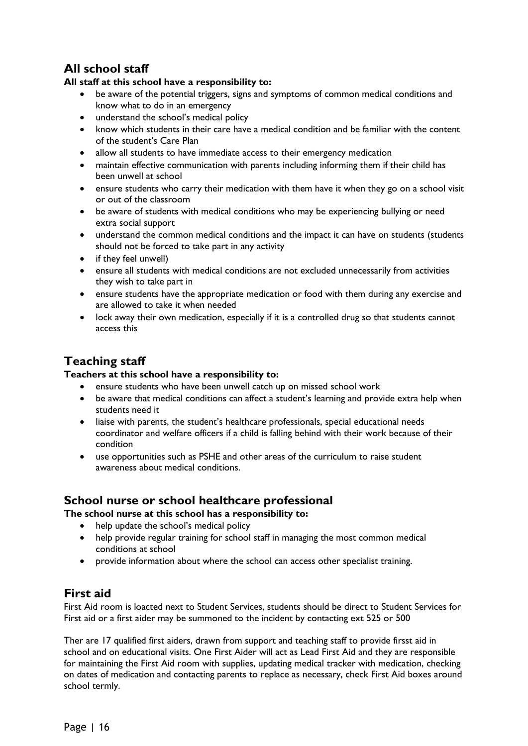# <span id="page-15-0"></span>**All school staff**

#### **All staff at this school have a responsibility to:**

- be aware of the potential triggers, signs and symptoms of common medical conditions and know what to do in an emergency
- understand the school's medical policy
- know which students in their care have a medical condition and be familiar with the content of the student's Care Plan
- allow all students to have immediate access to their emergency medication
- maintain effective communication with parents including informing them if their child has been unwell at school
- ensure students who carry their medication with them have it when they go on a school visit or out of the classroom
- be aware of students with medical conditions who may be experiencing bullying or need extra social support
- understand the common medical conditions and the impact it can have on students (students should not be forced to take part in any activity
- if they feel unwell)
- ensure all students with medical conditions are not excluded unnecessarily from activities they wish to take part in
- ensure students have the appropriate medication or food with them during any exercise and are allowed to take it when needed
- lock away their own medication, especially if it is a controlled drug so that students cannot access this

# <span id="page-15-1"></span>**Teaching staff**

#### **Teachers at this school have a responsibility to:**

- ensure students who have been unwell catch up on missed school work
- be aware that medical conditions can affect a student's learning and provide extra help when students need it
- liaise with parents, the student's healthcare professionals, special educational needs coordinator and welfare officers if a child is falling behind with their work because of their condition
- use opportunities such as PSHE and other areas of the curriculum to raise student awareness about medical conditions.

#### <span id="page-15-2"></span>**School nurse or school healthcare professional**

**The school nurse at this school has a responsibility to:**

- help update the school's medical policy
- help provide regular training for school staff in managing the most common medical conditions at school
- provide information about where the school can access other specialist training.

#### <span id="page-15-3"></span>**First aid**

First Aid room is loacted next to Student Services, students should be direct to Student Services for First aid or a first aider may be summoned to the incident by contacting ext 525 or 500

Ther are 17 qualified first aiders, drawn from support and teaching staff to provide firsst aid in school and on educational visits. One First Aider will act as Lead First Aid and they are responsible for maintaining the First Aid room with supplies, updating medical tracker with medication, checking on dates of medication and contacting parents to replace as necessary, check First Aid boxes around school termly.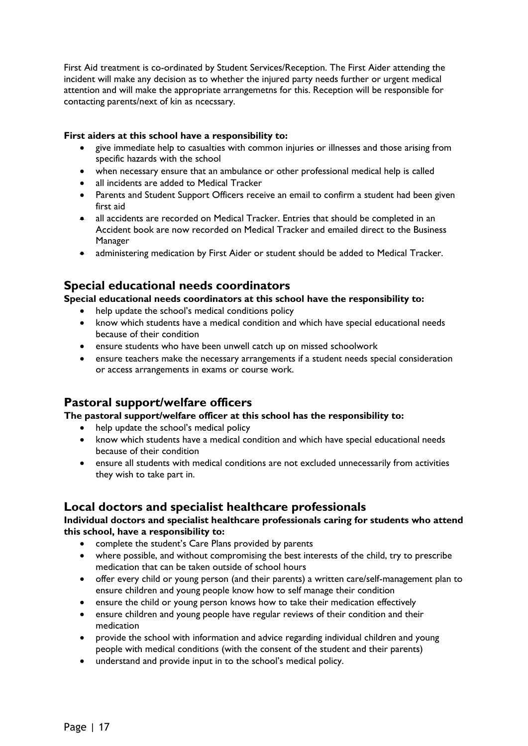First Aid treatment is co-ordinated by Student Services/Reception. The First Aider attending the incident will make any decision as to whether the injured party needs further or urgent medical attention and will make the appropriate arrangemetns for this. Reception will be responsible for contacting parents/next of kin as ncecssary.

#### **First aiders at this school have a responsibility to:**

- give immediate help to casualties with common injuries or illnesses and those arising from specific hazards with the school
- when necessary ensure that an ambulance or other professional medical help is called
- all incidents are added to Medical Tracker
- Parents and Student Support Officers receive an email to confirm a student had been given first aid
- all accidents are recorded on Medical Tracker. Entries that should be completed in an Accident book are now recorded on Medical Tracker and emailed direct to the Business Manager
- administering medication by First Aider or student should be added to Medical Tracker.

# <span id="page-16-0"></span>**Special educational needs coordinators**

**Special educational needs coordinators at this school have the responsibility to:**

- help update the school's medical conditions policy
- know which students have a medical condition and which have special educational needs because of their condition
- ensure students who have been unwell catch up on missed schoolwork
- ensure teachers make the necessary arrangements if a student needs special consideration or access arrangements in exams or course work.

#### <span id="page-16-1"></span>**Pastoral support/welfare officers**

#### **The pastoral support/welfare officer at this school has the responsibility to:**

- help update the school's medical policy
- know which students have a medical condition and which have special educational needs because of their condition
- ensure all students with medical conditions are not excluded unnecessarily from activities they wish to take part in.

#### <span id="page-16-2"></span>**Local doctors and specialist healthcare professionals**

#### **Individual doctors and specialist healthcare professionals caring for students who attend this school, have a responsibility to:**

- complete the student's Care Plans provided by parents
- where possible, and without compromising the best interests of the child, try to prescribe medication that can be taken outside of school hours
- offer every child or young person (and their parents) a written care/self-management plan to ensure children and young people know how to self manage their condition
- ensure the child or young person knows how to take their medication effectively
- ensure children and young people have regular reviews of their condition and their medication
- provide the school with information and advice regarding individual children and young people with medical conditions (with the consent of the student and their parents)
- understand and provide input in to the school's medical policy.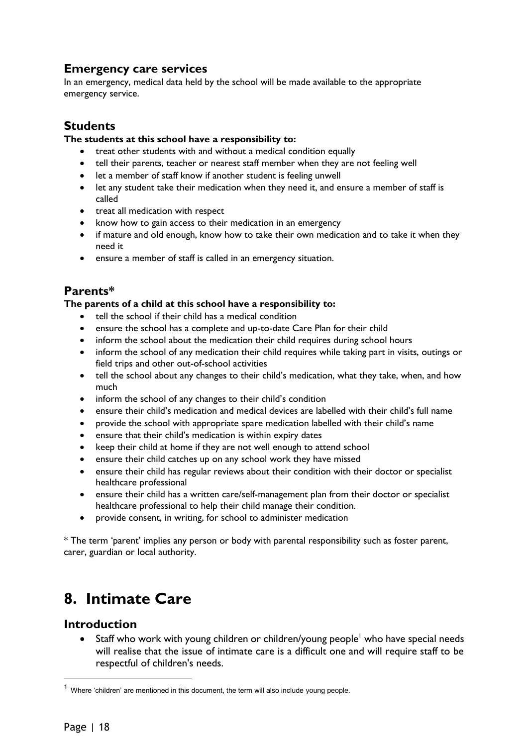# <span id="page-17-0"></span>**Emergency care services**

In an emergency, medical data held by the school will be made available to the appropriate emergency service.

# <span id="page-17-1"></span>**Students**

#### **The students at this school have a responsibility to:**

- treat other students with and without a medical condition equally
- tell their parents, teacher or nearest staff member when they are not feeling well
- let a member of staff know if another student is feeling unwell
- let any student take their medication when they need it, and ensure a member of staff is called
- treat all medication with respect
- know how to gain access to their medication in an emergency
- if mature and old enough, know how to take their own medication and to take it when they need it
- ensure a member of staff is called in an emergency situation.

# <span id="page-17-2"></span>**Parents\***

#### **The parents of a child at this school have a responsibility to:**

- tell the school if their child has a medical condition
- ensure the school has a complete and up-to-date Care Plan for their child
- inform the school about the medication their child requires during school hours
- inform the school of any medication their child requires while taking part in visits, outings or field trips and other out-of-school activities
- tell the school about any changes to their child's medication, what they take, when, and how much
- inform the school of any changes to their child's condition
- ensure their child's medication and medical devices are labelled with their child's full name
- provide the school with appropriate spare medication labelled with their child's name
- ensure that their child's medication is within expiry dates
- keep their child at home if they are not well enough to attend school
- ensure their child catches up on any school work they have missed
- ensure their child has regular reviews about their condition with their doctor or specialist healthcare professional
- ensure their child has a written care/self-management plan from their doctor or specialist healthcare professional to help their child manage their condition.
- provide consent, in writing, for school to administer medication

\* The term 'parent' implies any person or body with parental responsibility such as foster parent, carer, guardian or local authority.

# <span id="page-17-3"></span>**8. Intimate Care**

#### <span id="page-17-4"></span>**Introduction**

Staff who work with young children or children/young people<sup>1</sup> who have special needs will realise that the issue of intimate care is a difficult one and will require staff to be respectful of children's needs.

 $\overline{a}$ 

<sup>&</sup>lt;sup>1</sup> Where 'children' are mentioned in this document, the term will also include young people.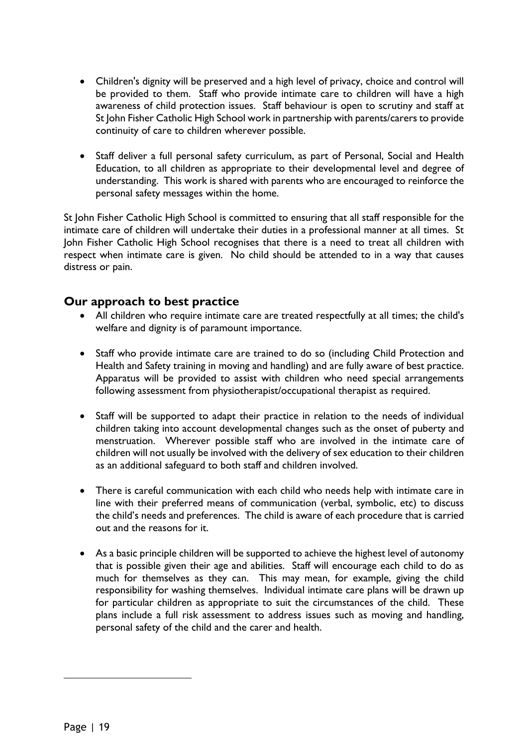- Children's dignity will be preserved and a high level of privacy, choice and control will be provided to them. Staff who provide intimate care to children will have a high awareness of child protection issues. Staff behaviour is open to scrutiny and staff at St John Fisher Catholic High School work in partnership with parents/carers to provide continuity of care to children wherever possible.
- Staff deliver a full personal safety curriculum, as part of Personal, Social and Health Education, to all children as appropriate to their developmental level and degree of understanding. This work is shared with parents who are encouraged to reinforce the personal safety messages within the home.

St John Fisher Catholic High School is committed to ensuring that all staff responsible for the intimate care of children will undertake their duties in a professional manner at all times. St John Fisher Catholic High School recognises that there is a need to treat all children with respect when intimate care is given. No child should be attended to in a way that causes distress or pain.

# <span id="page-18-0"></span>**Our approach to best practice**

- All children who require intimate care are treated respectfully at all times; the child's welfare and dignity is of paramount importance.
- Staff who provide intimate care are trained to do so (including Child Protection and Health and Safety training in moving and handling) and are fully aware of best practice. Apparatus will be provided to assist with children who need special arrangements following assessment from physiotherapist/occupational therapist as required.
- Staff will be supported to adapt their practice in relation to the needs of individual children taking into account developmental changes such as the onset of puberty and menstruation. Wherever possible staff who are involved in the intimate care of children will not usually be involved with the delivery of sex education to their children as an additional safeguard to both staff and children involved.
- There is careful communication with each child who needs help with intimate care in line with their preferred means of communication (verbal, symbolic, etc) to discuss the child's needs and preferences. The child is aware of each procedure that is carried out and the reasons for it.
- As a basic principle children will be supported to achieve the highest level of autonomy that is possible given their age and abilities. Staff will encourage each child to do as much for themselves as they can. This may mean, for example, giving the child responsibility for washing themselves. Individual intimate care plans will be drawn up for particular children as appropriate to suit the circumstances of the child. These plans include a full risk assessment to address issues such as moving and handling, personal safety of the child and the carer and health.

 $\overline{a}$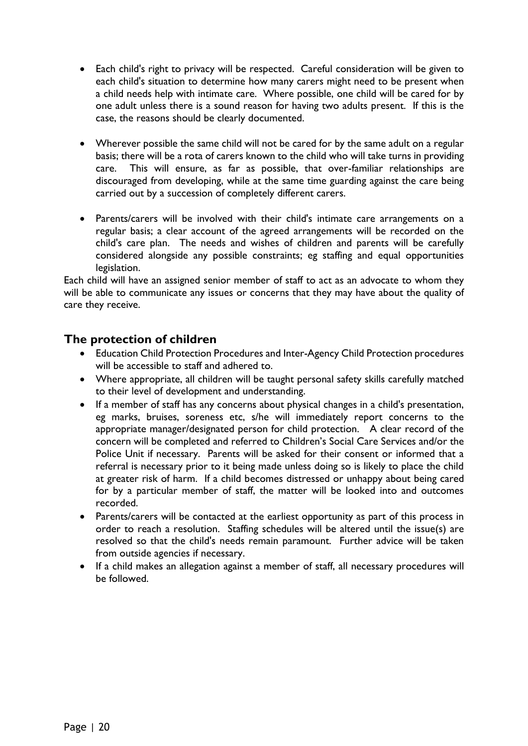- Each child's right to privacy will be respected. Careful consideration will be given to each child's situation to determine how many carers might need to be present when a child needs help with intimate care. Where possible, one child will be cared for by one adult unless there is a sound reason for having two adults present. If this is the case, the reasons should be clearly documented.
- Wherever possible the same child will not be cared for by the same adult on a regular basis; there will be a rota of carers known to the child who will take turns in providing care. This will ensure, as far as possible, that over-familiar relationships are discouraged from developing, while at the same time guarding against the care being carried out by a succession of completely different carers.
- Parents/carers will be involved with their child's intimate care arrangements on a regular basis; a clear account of the agreed arrangements will be recorded on the child's care plan. The needs and wishes of children and parents will be carefully considered alongside any possible constraints; eg staffing and equal opportunities legislation.

Each child will have an assigned senior member of staff to act as an advocate to whom they will be able to communicate any issues or concerns that they may have about the quality of care they receive.

### <span id="page-19-0"></span>**The protection of children**

- Education Child Protection Procedures and Inter-Agency Child Protection procedures will be accessible to staff and adhered to.
- Where appropriate, all children will be taught personal safety skills carefully matched to their level of development and understanding.
- If a member of staff has any concerns about physical changes in a child's presentation, eg marks, bruises, soreness etc, s/he will immediately report concerns to the appropriate manager/designated person for child protection. A clear record of the concern will be completed and referred to Children's Social Care Services and/or the Police Unit if necessary. Parents will be asked for their consent or informed that a referral is necessary prior to it being made unless doing so is likely to place the child at greater risk of harm. If a child becomes distressed or unhappy about being cared for by a particular member of staff, the matter will be looked into and outcomes recorded.
- Parents/carers will be contacted at the earliest opportunity as part of this process in order to reach a resolution. Staffing schedules will be altered until the issue(s) are resolved so that the child's needs remain paramount. Further advice will be taken from outside agencies if necessary.
- If a child makes an allegation against a member of staff, all necessary procedures will be followed.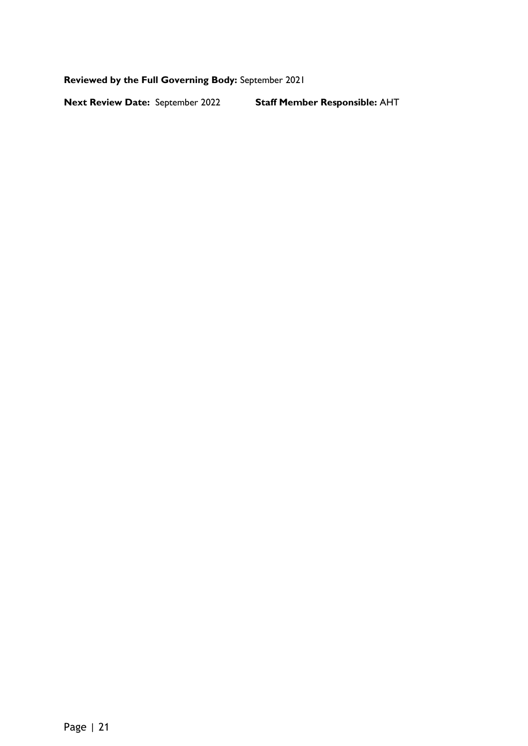**Reviewed by the Full Governing Body:** September 2021

**Next Review Date:** September 2022 **Staff Member Responsible:** AHT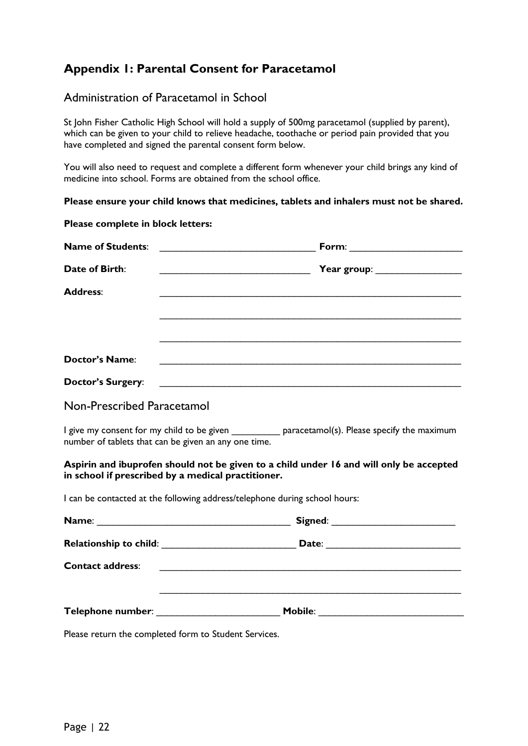# <span id="page-21-0"></span>**Appendix 1: Parental Consent for Paracetamol**

#### Administration of Paracetamol in School

St John Fisher Catholic High School will hold a supply of 500mg paracetamol (supplied by parent), which can be given to your child to relieve headache, toothache or period pain provided that you have completed and signed the parental consent form below.

You will also need to request and complete a different form whenever your child brings any kind of medicine into school. Forms are obtained from the school office.

**Please ensure your child knows that medicines, tablets and inhalers must not be shared.**

| Please complete in block letters: |                                                                                                                                                            |
|-----------------------------------|------------------------------------------------------------------------------------------------------------------------------------------------------------|
| <b>Name of Students:</b>          | Form: _________________________                                                                                                                            |
| Date of Birth:                    | <b>The Contract of Transform Pressure Pressure Pressure Pressure Pressure Pressure Pressure Pressure Pressure Pre</b>                                      |
| <b>Address:</b>                   |                                                                                                                                                            |
|                                   | <u> 1989 - 1989 - 1989 - 1989 - 1989 - 1989 - 1989 - 1989 - 1989 - 1989 - 1989 - 1989 - 1989 - 1989 - 1989 - 19</u>                                        |
| <b>Doctor's Name:</b>             |                                                                                                                                                            |
| <b>Doctor's Surgery:</b>          | <u> 1989 - Johann Stoff, amerikansk politiker (d. 1989)</u>                                                                                                |
| Non-Prescribed Paracetamol        |                                                                                                                                                            |
|                                   | I give my consent for my child to be given ____________ paracetamol(s). Please specify the maximum<br>number of tablets that can be given an any one time. |
|                                   | Aspirin and ibuprofen should not be given to a child under 16 and will only be accepted<br>in school if prescribed by a medical practitioner.              |
|                                   | I can be contacted at the following address/telephone during school hours:                                                                                 |
|                                   |                                                                                                                                                            |
|                                   |                                                                                                                                                            |
| <b>Contact address:</b>           | <u> 1989 - Johann John Stoff, deutscher Stoffen und der Stoffen und der Stoffen und der Stoffen und der Stoffen u</u>                                      |
|                                   |                                                                                                                                                            |

Please return the completed form to Student Services.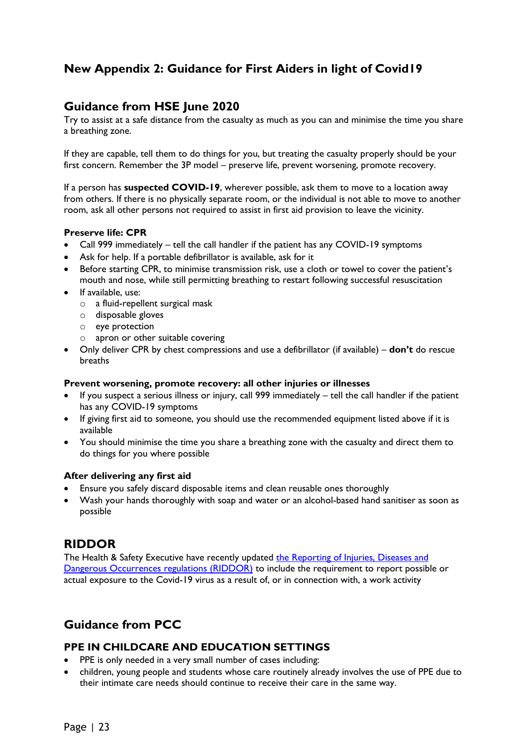# <span id="page-22-0"></span>**New Appendix 2: Guidance for First Aiders in light of Covid19**

### <span id="page-22-1"></span>**Guidance from HSE June 2020**

Try to assist at a safe distance from the casualty as much as you can and minimise the time you share a breathing zone.

If they are capable, tell them to do things for you, but treating the casualty properly should be your first concern. Remember the 3P model – preserve life, prevent worsening, promote recovery.

If a person has **suspected COVID-19**, wherever possible, ask them to move to a location away from others. If there is no physically separate room, or the individual is not able to move to another room, ask all other persons not required to assist in first aid provision to leave the vicinity.

#### **Preserve life: CPR**

- Call 999 immediately tell the call handler if the patient has any COVID-19 symptoms
- Ask for help. If a portable defibrillator is available, ask for it
- Before starting CPR, to minimise transmission risk, use a cloth or towel to cover the patient's mouth and nose, while still permitting breathing to restart following successful resuscitation
- If available, use:
	- o a fluid-repellent surgical mask
	- o disposable gloves
	- o eye protection
	- o apron or other suitable covering
- Only deliver CPR by chest compressions and use a defibrillator (if available) **don't** do rescue breaths

#### **Prevent worsening, promote recovery: all other injuries or illnesses**

- If you suspect a serious illness or injury, call 999 immediately tell the call handler if the patient has any COVID-19 symptoms
- If giving first aid to someone, you should use the recommended equipment listed above if it is available
- You should minimise the time you share a breathing zone with the casualty and direct them to do things for you where possible

#### **After delivering any first aid**

- Ensure you safely discard disposable items and clean reusable ones thoroughly
- Wash your hands thoroughly with soap and water or an alcohol-based hand sanitiser as soon as possible

#### <span id="page-22-2"></span>**RIDDOR**

The Health & Safety Executive have recently updated the Reporting of Injuries, Diseases and [Dangerous Occurrences regulations \(RIDDOR\)](https://www.hse.gov.uk/news/riddor-reporting-coronavirus.htm) to include the requirement to report possible or actual exposure to the Covid-19 virus as a result of, or in connection with, a work activity

# <span id="page-22-3"></span>**Guidance from PCC**

#### <span id="page-22-4"></span>**PPE IN CHILDCARE AND EDUCATION SETTINGS**

- PPE is only needed in a very small number of cases including:
- children, young people and students whose care routinely already involves the use of PPE due to their intimate care needs should continue to receive their care in the same way.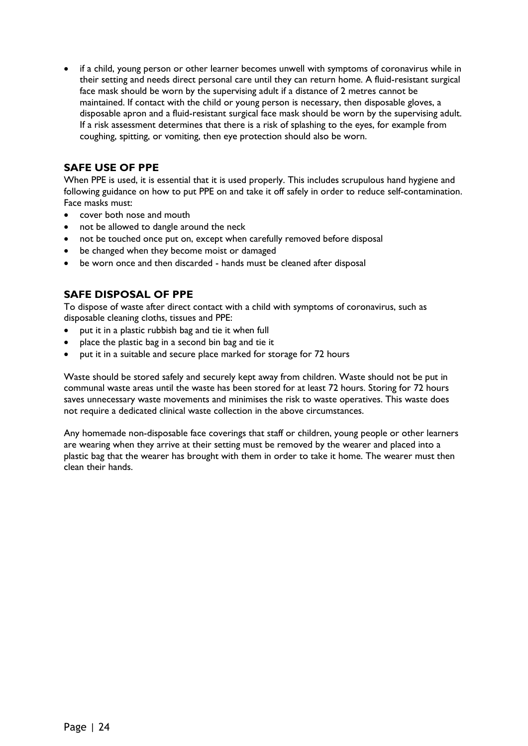• if a child, young person or other learner becomes unwell with symptoms of coronavirus while in their setting and needs direct personal care until they can return home. A fluid-resistant surgical face mask should be worn by the supervising adult if a distance of 2 metres cannot be maintained. If contact with the child or young person is necessary, then disposable gloves, a disposable apron and a fluid-resistant surgical face mask should be worn by the supervising adult. If a risk assessment determines that there is a risk of splashing to the eyes, for example from coughing, spitting, or vomiting, then eye protection should also be worn.

#### <span id="page-23-0"></span>**SAFE USE OF PPE**

When PPE is used, it is essential that it is used properly. This includes scrupulous hand hygiene and following guidance on how to put PPE on and take it off safely in order to reduce self-contamination. Face masks must:

- cover both nose and mouth
- not be allowed to dangle around the neck
- not be touched once put on, except when carefully removed before disposal
- be changed when they become moist or damaged
- be worn once and then discarded hands must be cleaned after disposal

#### <span id="page-23-1"></span>**SAFE DISPOSAL OF PPE**

To dispose of waste after direct contact with a child with symptoms of coronavirus, such as disposable cleaning cloths, tissues and PPE:

- put it in a plastic rubbish bag and tie it when full
- place the plastic bag in a second bin bag and tie it
- put it in a suitable and secure place marked for storage for 72 hours

Waste should be stored safely and securely kept away from children. Waste should not be put in communal waste areas until the waste has been stored for at least 72 hours. Storing for 72 hours saves unnecessary waste movements and minimises the risk to waste operatives. This waste does not require a dedicated clinical waste collection in the above circumstances.

Any homemade non-disposable face coverings that staff or children, young people or other learners are wearing when they arrive at their setting must be removed by the wearer and placed into a plastic bag that the wearer has brought with them in order to take it home. The wearer must then clean their hands.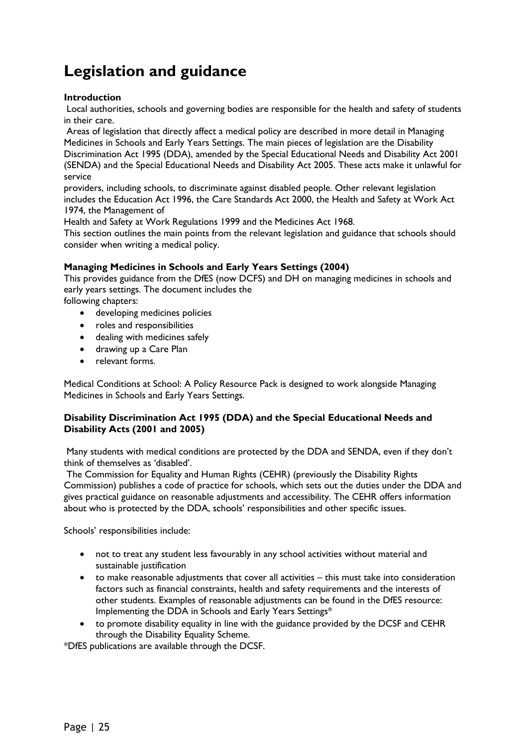# <span id="page-24-0"></span>**Legislation and guidance**

#### **Introduction**

Local authorities, schools and governing bodies are responsible for the health and safety of students in their care.

Areas of legislation that directly affect a medical policy are described in more detail in Managing Medicines in Schools and Early Years Settings. The main pieces of legislation are the Disability Discrimination Act 1995 (DDA), amended by the Special Educational Needs and Disability Act 2001 (SENDA) and the Special Educational Needs and Disability Act 2005. These acts make it unlawful for service

providers, including schools, to discriminate against disabled people. Other relevant legislation includes the Education Act 1996, the Care Standards Act 2000, the Health and Safety at Work Act 1974, the Management of

Health and Safety at Work Regulations 1999 and the Medicines Act 1968.

This section outlines the main points from the relevant legislation and guidance that schools should consider when writing a medical policy.

#### **Managing Medicines in Schools and Early Years Settings (2004)**

This provides guidance from the DfES (now DCFS) and DH on managing medicines in schools and early years settings. The document includes the

following chapters:

- developing medicines policies
- roles and responsibilities
- dealing with medicines safely
- drawing up a Care Plan
- relevant forms.

Medical Conditions at School: A Policy Resource Pack is designed to work alongside Managing Medicines in Schools and Early Years Settings.

#### **Disability Discrimination Act 1995 (DDA) and the Special Educational Needs and Disability Acts (2001 and 2005)**

Many students with medical conditions are protected by the DDA and SENDA, even if they don't think of themselves as 'disabled'.

The Commission for Equality and Human Rights (CEHR) (previously the Disability Rights Commission) publishes a code of practice for schools, which sets out the duties under the DDA and gives practical guidance on reasonable adjustments and accessibility. The CEHR offers information about who is protected by the DDA, schools' responsibilities and other specific issues.

Schools' responsibilities include:

- not to treat any student less favourably in any school activities without material and sustainable justification
- to make reasonable adjustments that cover all activities this must take into consideration factors such as financial constraints, health and safety requirements and the interests of other students. Examples of reasonable adjustments can be found in the DfES resource: Implementing the DDA in Schools and Early Years Settings\*
- to promote disability equality in line with the guidance provided by the DCSF and CEHR through the Disability Equality Scheme.

\*DfES publications are available through the DCSF.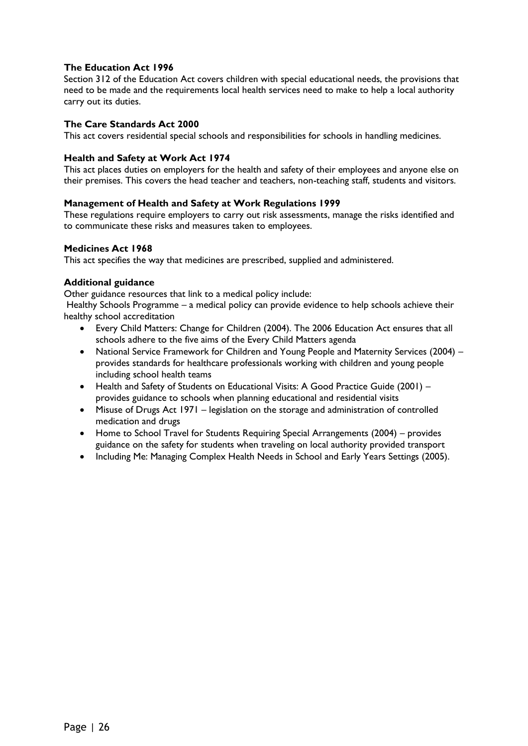#### **The Education Act 1996**

Section 312 of the Education Act covers children with special educational needs, the provisions that need to be made and the requirements local health services need to make to help a local authority carry out its duties.

#### **The Care Standards Act 2000**

This act covers residential special schools and responsibilities for schools in handling medicines.

#### **Health and Safety at Work Act 1974**

This act places duties on employers for the health and safety of their employees and anyone else on their premises. This covers the head teacher and teachers, non-teaching staff, students and visitors.

#### **Management of Health and Safety at Work Regulations 1999**

These regulations require employers to carry out risk assessments, manage the risks identified and to communicate these risks and measures taken to employees.

#### **Medicines Act 1968**

This act specifies the way that medicines are prescribed, supplied and administered.

#### **Additional guidance**

Other guidance resources that link to a medical policy include:

Healthy Schools Programme – a medical policy can provide evidence to help schools achieve their healthy school accreditation

- Every Child Matters: Change for Children (2004). The 2006 Education Act ensures that all schools adhere to the five aims of the Every Child Matters agenda
- National Service Framework for Children and Young People and Maternity Services (2004) provides standards for healthcare professionals working with children and young people including school health teams
- Health and Safety of Students on Educational Visits: A Good Practice Guide (2001) provides guidance to schools when planning educational and residential visits
- Misuse of Drugs Act 1971 legislation on the storage and administration of controlled medication and drugs
- Home to School Travel for Students Requiring Special Arrangements (2004) provides guidance on the safety for students when traveling on local authority provided transport
- Including Me: Managing Complex Health Needs in School and Early Years Settings (2005).